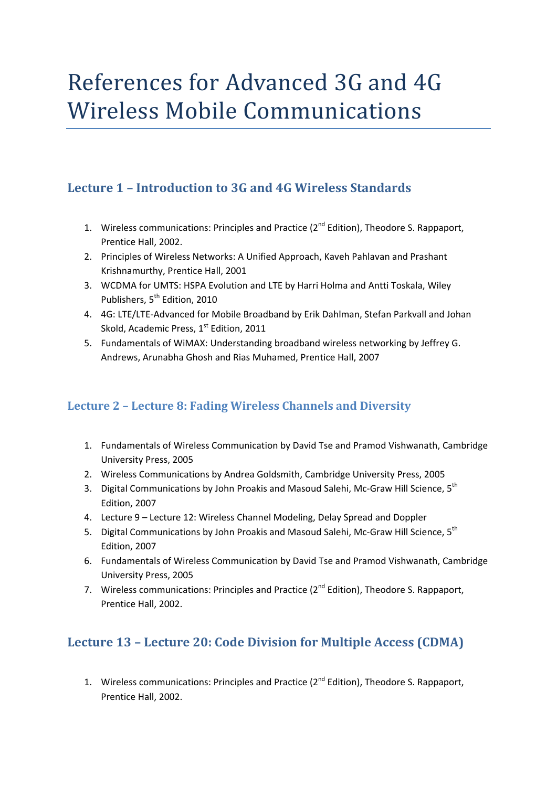# References for Advanced 3G and 4G Wireless Mobile Communications

### **Lecture 1 – Introduction to 3G and 4G Wireless Standards**

- 1. Wireless communications: Principles and Practice (2<sup>nd</sup> Edition), Theodore S. Rappaport, Prentice Hall, 2002.
- 2. Principles of Wireless Networks: A Unified Approach, Kaveh Pahlavan and Prashant Krishnamurthy, Prentice Hall, 2001
- 3. WCDMA for UMTS: HSPA Evolution and LTE by Harri Holma and Antti Toskala, Wiley Publishers, 5<sup>th</sup> Edition, 2010
- 4. 4G: LTE/LTE‐Advanced for Mobile Broadband by Erik Dahlman, Stefan Parkvall and Johan Skold, Academic Press, 1<sup>st</sup> Edition, 2011
- 5. Fundamentals of WiMAX: Understanding broadband wireless networking by Jeffrey G. Andrews, Arunabha Ghosh and Rias Muhamed, Prentice Hall, 2007

#### **Lecture 2 – Lecture 8: Fading Wireless Channels and Diversity**

- 1. Fundamentals of Wireless Communication by David Tse and Pramod Vishwanath, Cambridge University Press, 2005
- 2. Wireless Communications by Andrea Goldsmith, Cambridge University Press, 2005
- 3. Digital Communications by John Proakis and Masoud Salehi, Mc-Graw Hill Science, 5<sup>th</sup> Edition, 2007
- 4. Lecture 9 Lecture 12: Wireless Channel Modeling, Delay Spread and Doppler
- 5. Digital Communications by John Proakis and Masoud Salehi, Mc-Graw Hill Science, 5<sup>th</sup> Edition, 2007
- 6. Fundamentals of Wireless Communication by David Tse and Pramod Vishwanath, Cambridge University Press, 2005
- 7. Wireless communications: Principles and Practice (2<sup>nd</sup> Edition), Theodore S. Rappaport, Prentice Hall, 2002.

#### **Lecture 13 – Lecture 20: Code Division for Multiple Access (CDMA)**

1. Wireless communications: Principles and Practice (2<sup>nd</sup> Edition), Theodore S. Rappaport, Prentice Hall, 2002.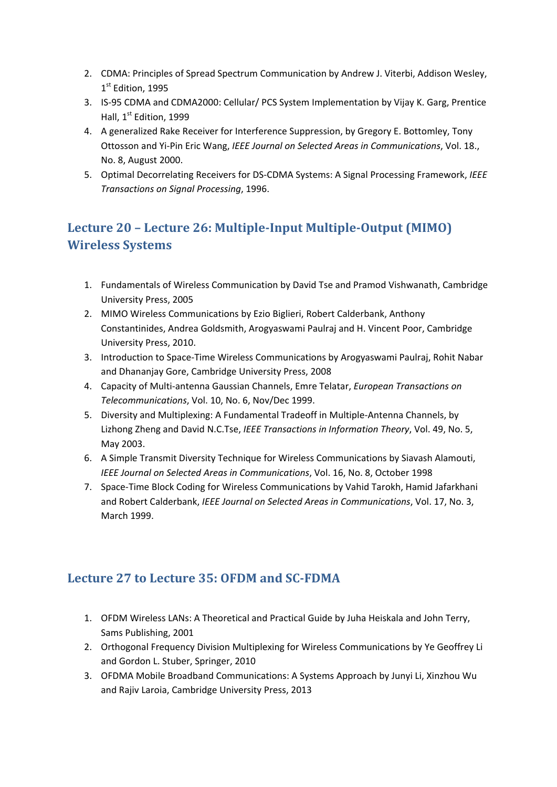- 2. CDMA: Principles of Spread Spectrum Communication by Andrew J. Viterbi, Addison Wesley, 1st Edition, 1995
- 3. IS‐95 CDMA and CDMA2000: Cellular/ PCS System Implementation by Vijay K. Garg, Prentice Hall, 1<sup>st</sup> Edition, 1999
- 4. A generalized Rake Receiver for Interference Suppression, by Gregory E. Bottomley, Tony Ottosson and Yi‐Pin Eric Wang, *IEEE Journal on Selected Areas in Communications*, Vol. 18., No. 8, August 2000.
- 5. Optimal Decorrelating Receivers for DS‐CDMA Systems: A Signal Processing Framework, *IEEE Transactions on Signal Processing*, 1996.

## **Lecture 20 – Lecture 26: Multiple‐Input Multiple‐Output (MIMO) Wireless Systems**

- 1. Fundamentals of Wireless Communication by David Tse and Pramod Vishwanath, Cambridge University Press, 2005
- 2. MIMO Wireless Communications by Ezio Biglieri, Robert Calderbank, Anthony Constantinides, Andrea Goldsmith, Arogyaswami Paulraj and H. Vincent Poor, Cambridge University Press, 2010.
- 3. Introduction to Space‐Time Wireless Communications by Arogyaswami Paulraj, Rohit Nabar and Dhananjay Gore, Cambridge University Press, 2008
- 4. Capacity of Multi‐antenna Gaussian Channels, Emre Telatar, *European Transactions on Telecommunications*, Vol. 10, No. 6, Nov/Dec 1999.
- 5. Diversity and Multiplexing: A Fundamental Tradeoff in Multiple-Antenna Channels, by Lizhong Zheng and David N.C.Tse, *IEEE Transactions in Information Theory*, Vol. 49, No. 5, May 2003.
- 6. A Simple Transmit Diversity Technique for Wireless Communications by Siavash Alamouti, *IEEE Journal on Selected Areas in Communications*, Vol. 16, No. 8, October 1998
- 7. Space‐Time Block Coding for Wireless Communications by Vahid Tarokh, Hamid Jafarkhani and Robert Calderbank, *IEEE Journal on Selected Areas in Communications*, Vol. 17, No. 3, March 1999.

#### **Lecture 27 to Lecture 35: OFDM and SC‐FDMA**

- 1. OFDM Wireless LANs: A Theoretical and Practical Guide by Juha Heiskala and John Terry, Sams Publishing, 2001
- 2. Orthogonal Frequency Division Multiplexing for Wireless Communications by Ye Geoffrey Li and Gordon L. Stuber, Springer, 2010
- 3. OFDMA Mobile Broadband Communications: A Systems Approach by Junyi Li, Xinzhou Wu and Rajiv Laroia, Cambridge University Press, 2013